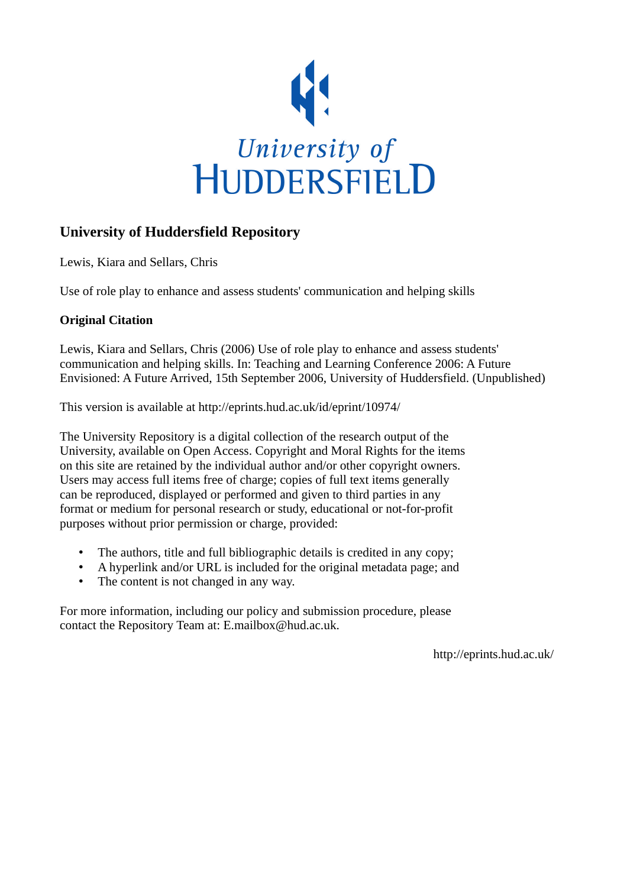

#### **University of Huddersfield Repository**

Lewis, Kiara and Sellars, Chris

Use of role play to enhance and assess students' communication and helping skills

#### **Original Citation**

Lewis, Kiara and Sellars, Chris (2006) Use of role play to enhance and assess students' communication and helping skills. In: Teaching and Learning Conference 2006: A Future Envisioned: A Future Arrived, 15th September 2006, University of Huddersfield. (Unpublished)

This version is available at http://eprints.hud.ac.uk/id/eprint/10974/

The University Repository is a digital collection of the research output of the University, available on Open Access. Copyright and Moral Rights for the items on this site are retained by the individual author and/or other copyright owners. Users may access full items free of charge; copies of full text items generally can be reproduced, displayed or performed and given to third parties in any format or medium for personal research or study, educational or not-for-profit purposes without prior permission or charge, provided:

- The authors, title and full bibliographic details is credited in any copy;
- A hyperlink and/or URL is included for the original metadata page; and
- The content is not changed in any way.

For more information, including our policy and submission procedure, please contact the Repository Team at: E.mailbox@hud.ac.uk.

http://eprints.hud.ac.uk/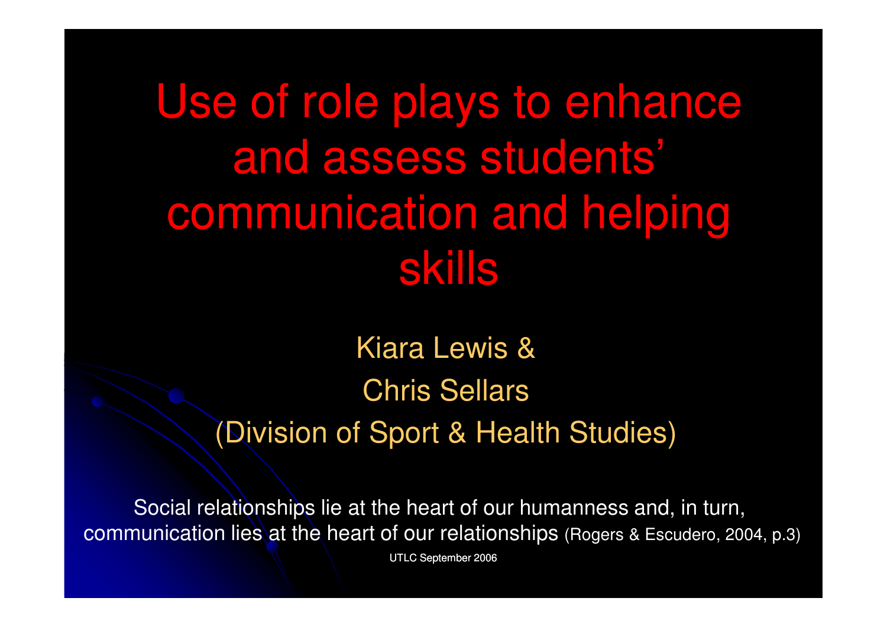# Use of role plays to enhance and assess students' communication and helping skills

Kiara Lewis & Chris Sellars(Division of Sport & Health Studies)

Social relationships lie at the heart of our humanness and, in turn, communication lies at the heart of our relationships (Rogers & Escudero, 2004, p.3)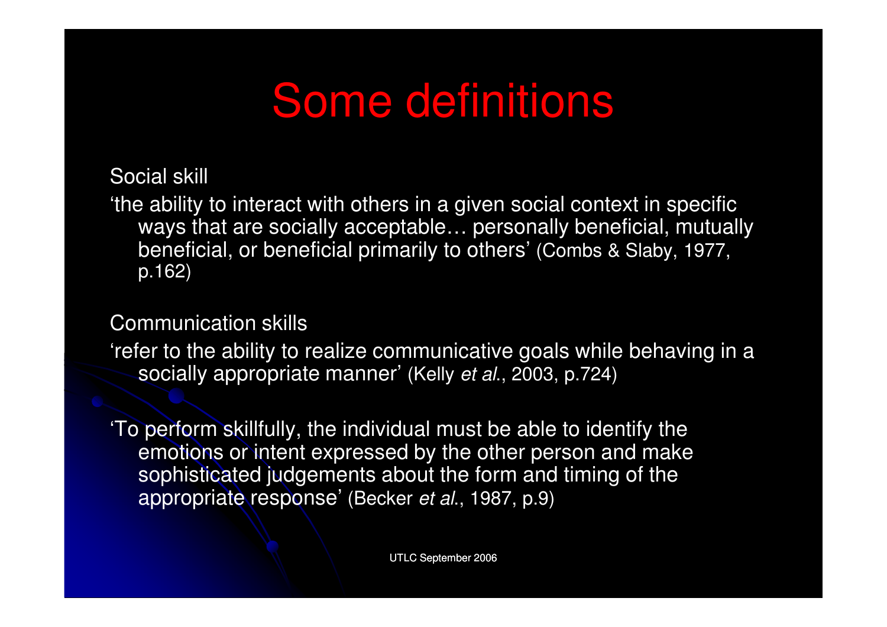#### Some definitions

Social skill

'the ability to interact with others in a given social context in specific ways that are socially acceptable… personally beneficial, mutually beneficial, or beneficial primarily to others' (Combs & Slaby, 1977, p.162)

Communication skills

'refer to the ability to realize communicative goals while behaving in a socially appropriate manner' (Kelly et al., 2003, p.724)

'To perform skillfully, the individual must be able to identify the emotions or intent expressed by the other person and make sophisticated judgements about the form and timing of the appropriate response' (Becker et al., 1987, p.9)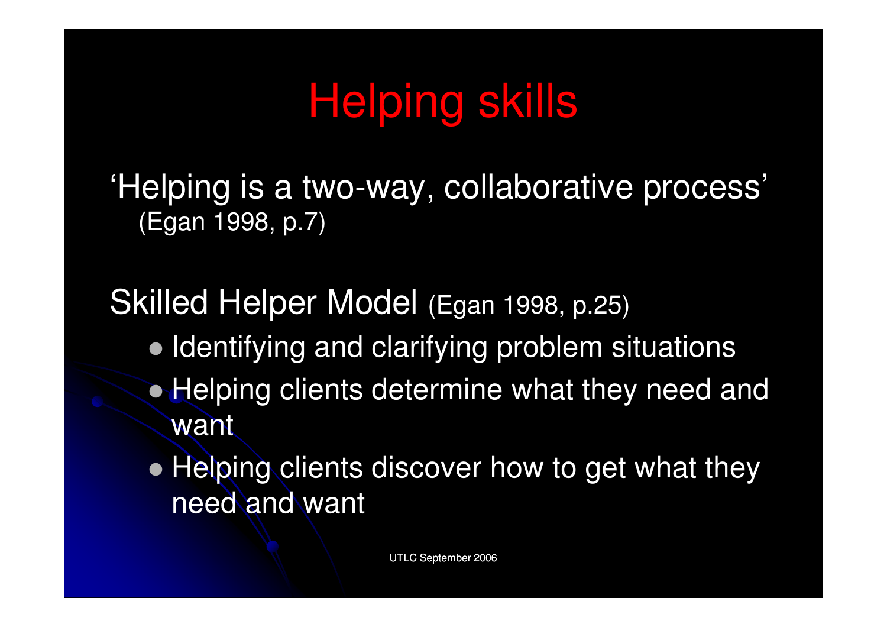# Helping skills

'Helping is a two-way, collaborative process' (Egan 1998, p.7)

Skilled Helper Model (Egan 1998, p.25)

- Identifying and clarifying problem situations
- Helping clients determine what they need and want
- Helping clients discover how to get what they need and want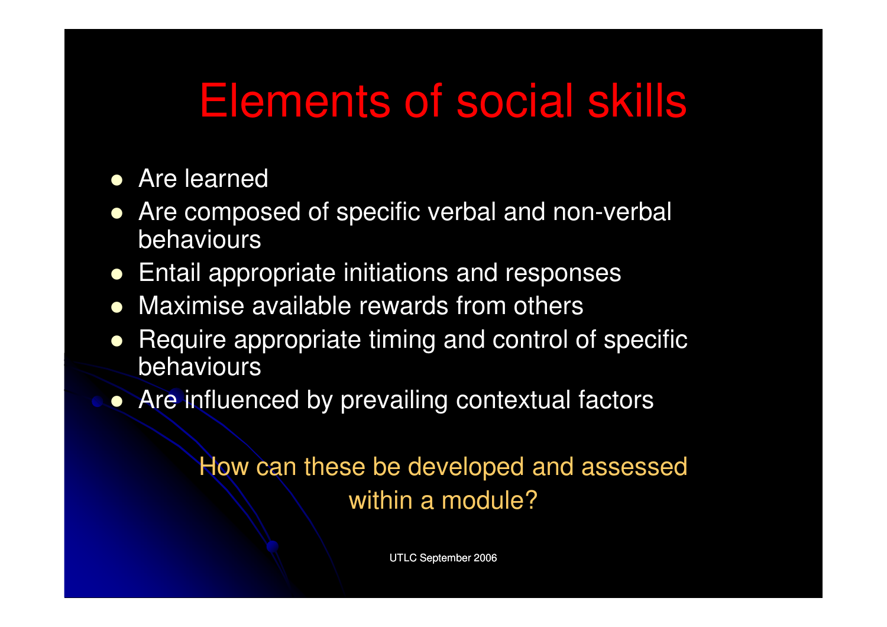#### Elements of social skills

- **•** Are learned
- Are composed of specific verbal and non-verbal behaviours
- Entail appropriate initiations and responses
- **•** Maximise available rewards from others
- $\bullet$  Require appropriate timing and control of specific behaviours
- Are influenced by prevailing contextual factors

How can these be developed and assessed within a module?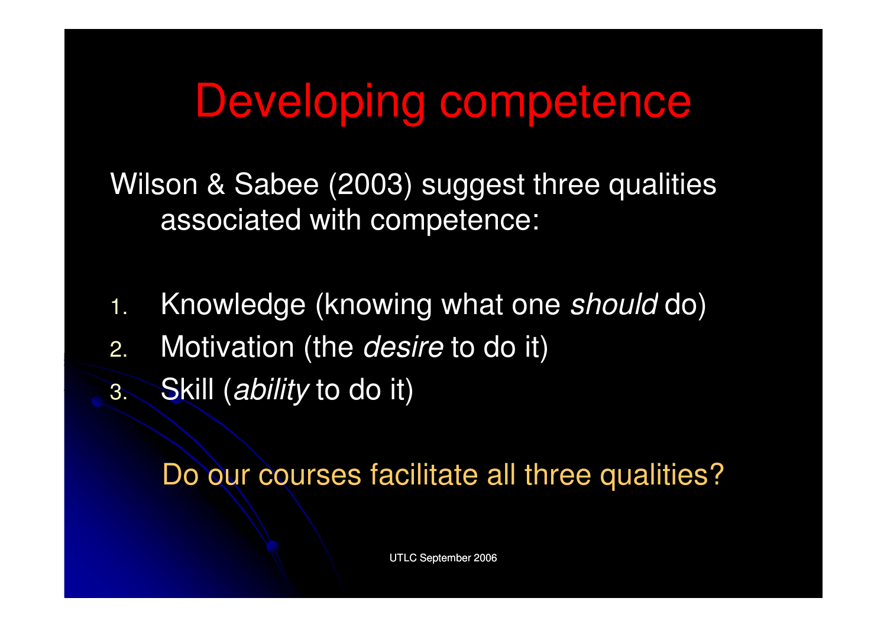#### Developing competence

Wilson & Sabee (2003) suggest three qualities associated with competence:

- 1.. Knowledge (knowing what one should do)
- 2.. Motivation (the *desire* to do it)
- 3.Skill (ability to do it)

Do our courses facilitate all three qualities?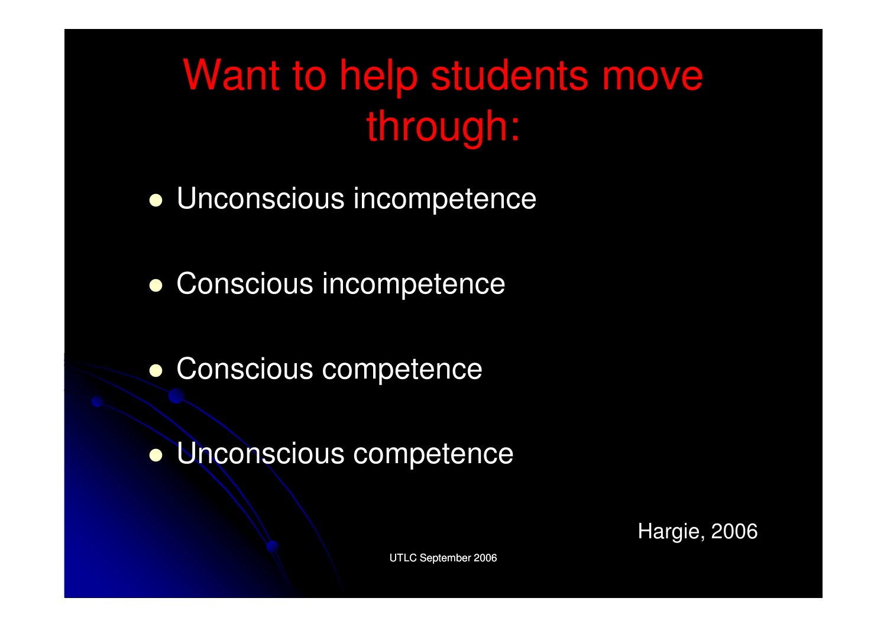#### Want to help students move through:

- Unconscious incompetence
- Conscious incompetence
- **Conscious competence**
- Unconscious competence

Hargie, 2006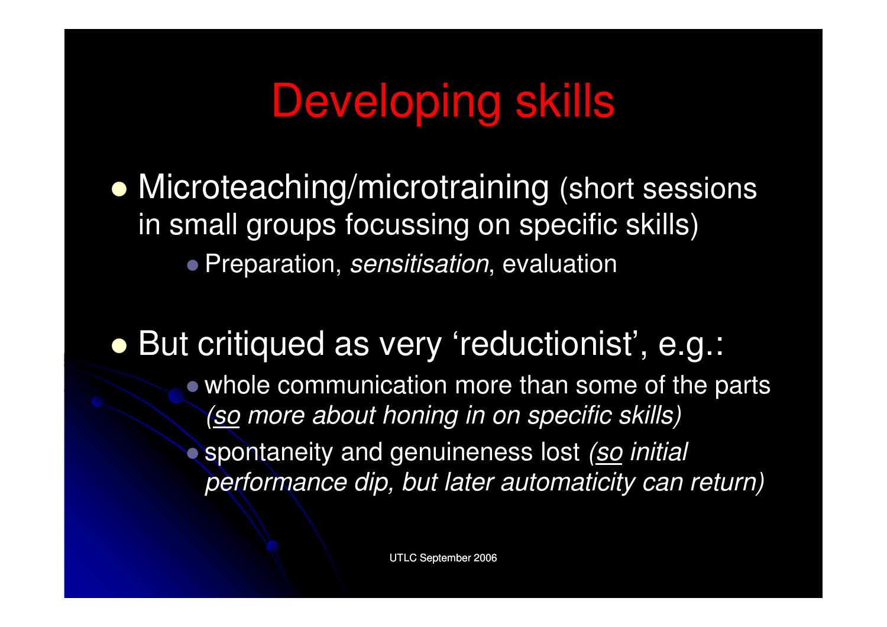## Developing skills

• Microteaching/microtraining (short sessions in small groups focussing on specific skills) $\bullet$  Preparation, *sensitisation*, evaluation

#### But critiqued as very 'reductionist', e.g.:

- whole communication more than some of the parts <u>(so</u> more about honing in on specific skills)
- $\bullet$ spontaneity and genuineness lost (so initial performance dip, but later automaticity can return)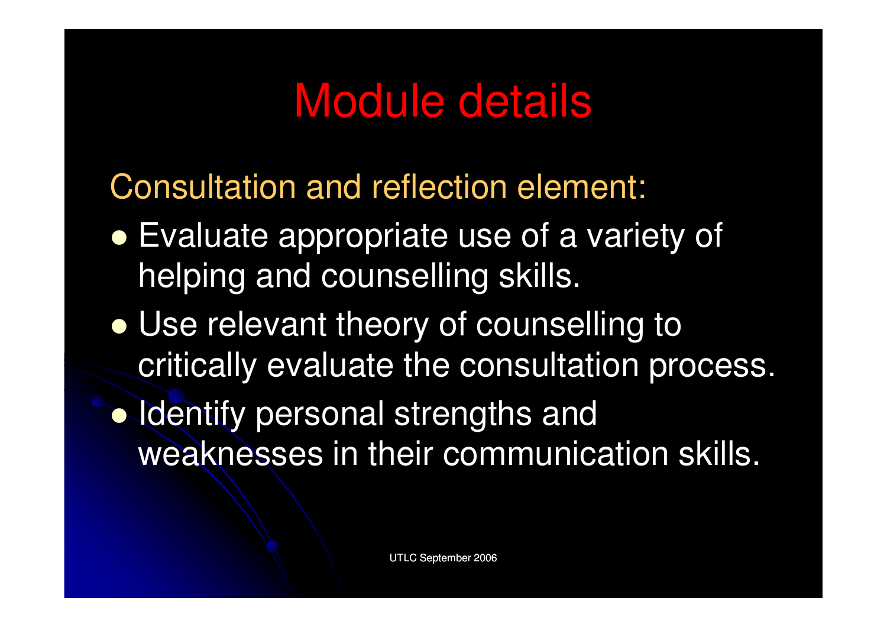#### Module details

Consultation and reflection element:

- Evaluate appropriate use of a variety of helping and counselling skills.
- Use relevant theory of counselling to critically evaluate the consultation process.
- Identify personal strengths and weaknesses in their communication skills.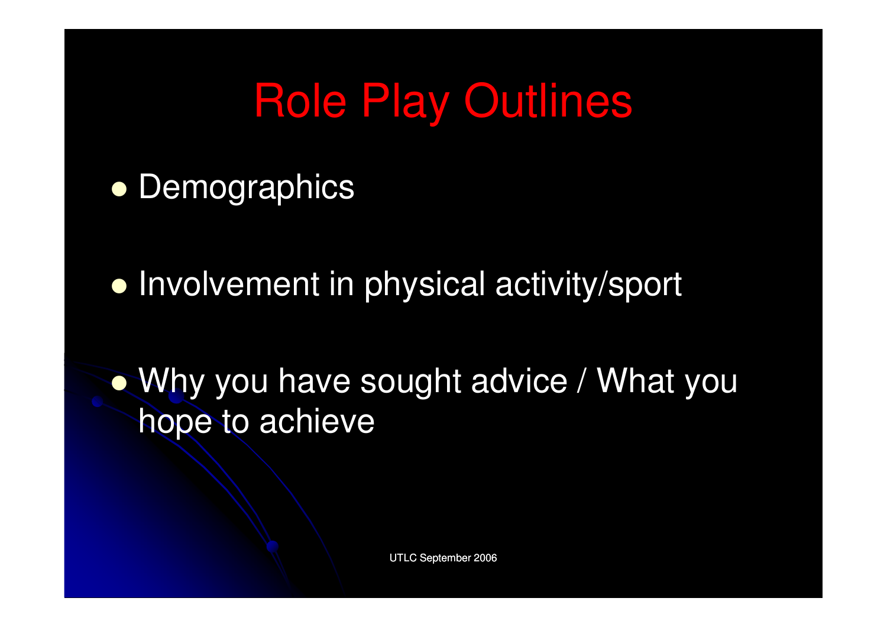## Role Play Outlines

- **•** Demographics
- **Involvement in physical activity/sport**

 Why you have sought advice / What you hope to achieve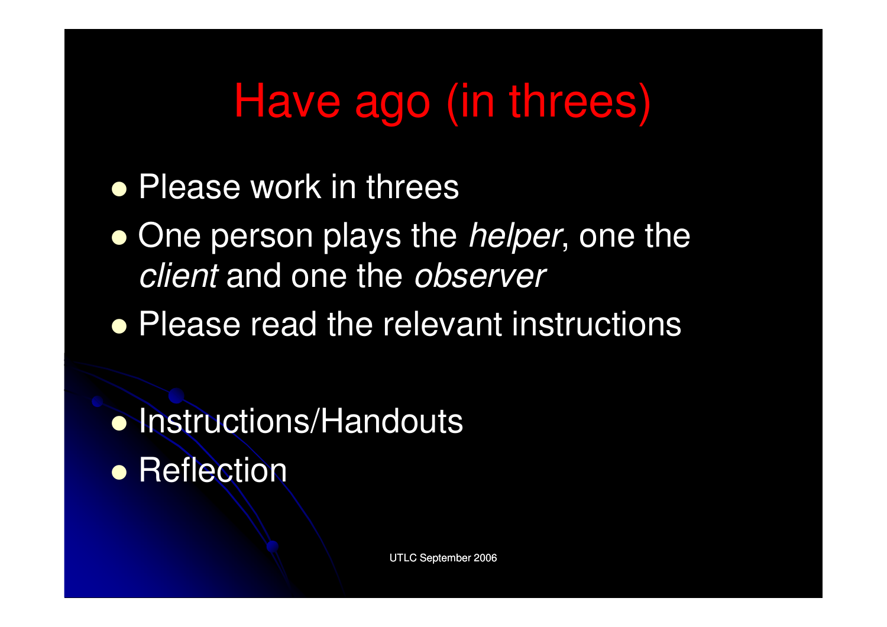## Have ago (in threes)

- **Please work in threes**
- $\bullet$ • One person plays the *helper*, one the client and one the observer
- **Please read the relevant instructions**

• Instructions/Handouts **• Reflection**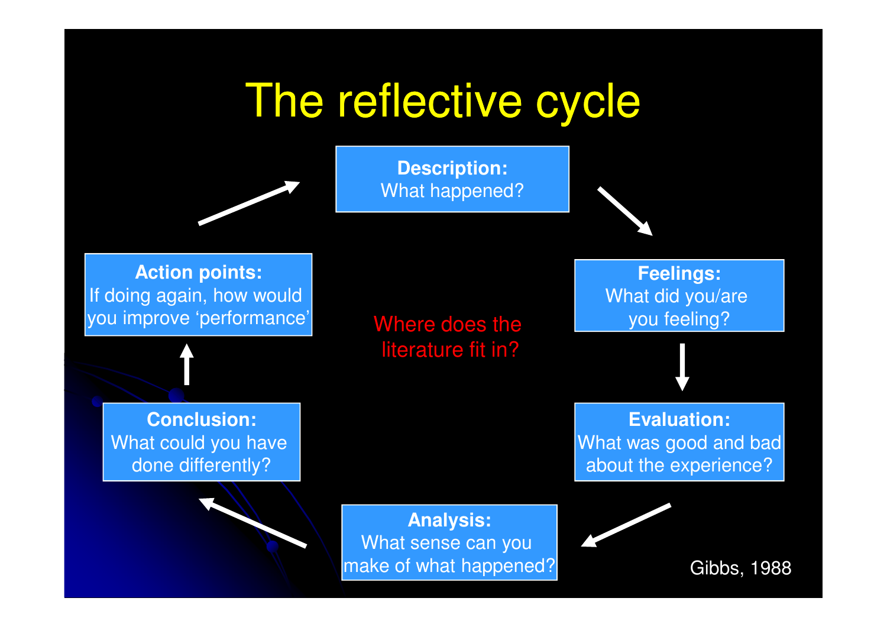#### The reflective cycle

**Description:**What happened?

**Action points:** If doing again, how would you improve 'performance'

 Where does the literature fit in?

**Conclusion:**What could you have done differently?

> $of what han$ **Analysis:** What sense can you make of what happened?

**Feelings:**What did you/are you feeling?

**Evaluation:** What was good and badabout the experience?

Gibbs, 1988

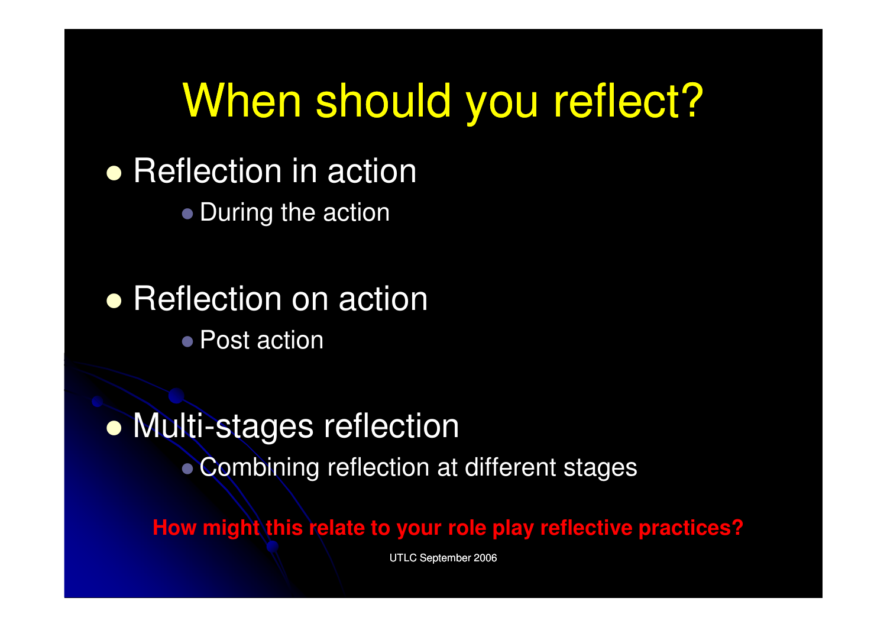#### When should you reflect?

**• Reflection in action** 

• During the action

**• Reflection on action** ● Post action

 Multi-stages reflection Combining reflection at different stages

How might this relate to your role play reflective practices?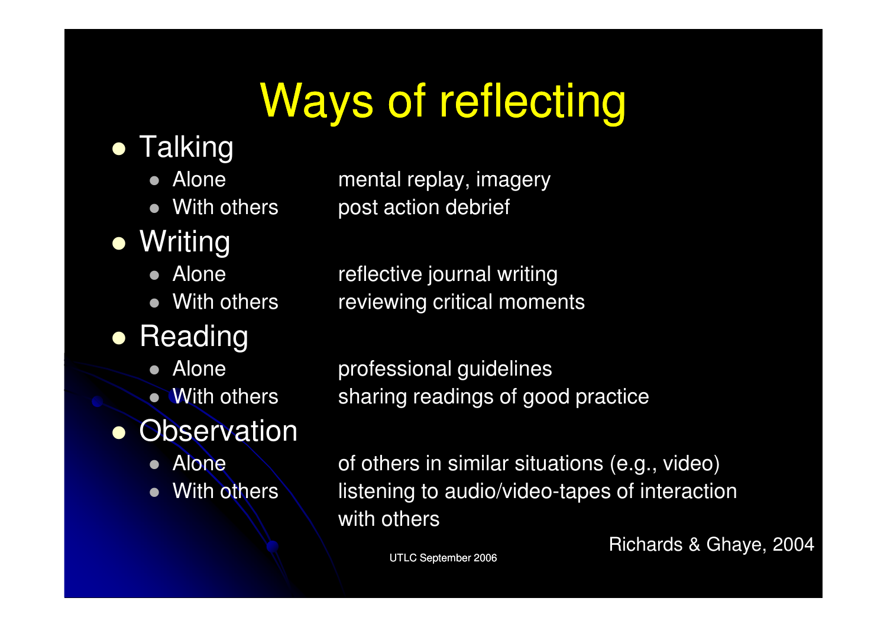# Ways of reflecting

- Talking
	- Alone
	- $\bullet$
- $\bullet$ **Writing** 
	- Alone
	- $\bullet$
- Reading
	- Alone
	- With others
- **Observation** 
	- Alone
	- With others

Alone mental replay, imagery<br>With others post action debrief post action debrief

Alone reflective journal writing<br>With others reviewing critical mome reviewing critical moments

> professional guidelines sharing readings of good practice

of others in similar situations (e.g., video) listening to audio/video-tapes of interaction with others

Richards & Ghaye, 2004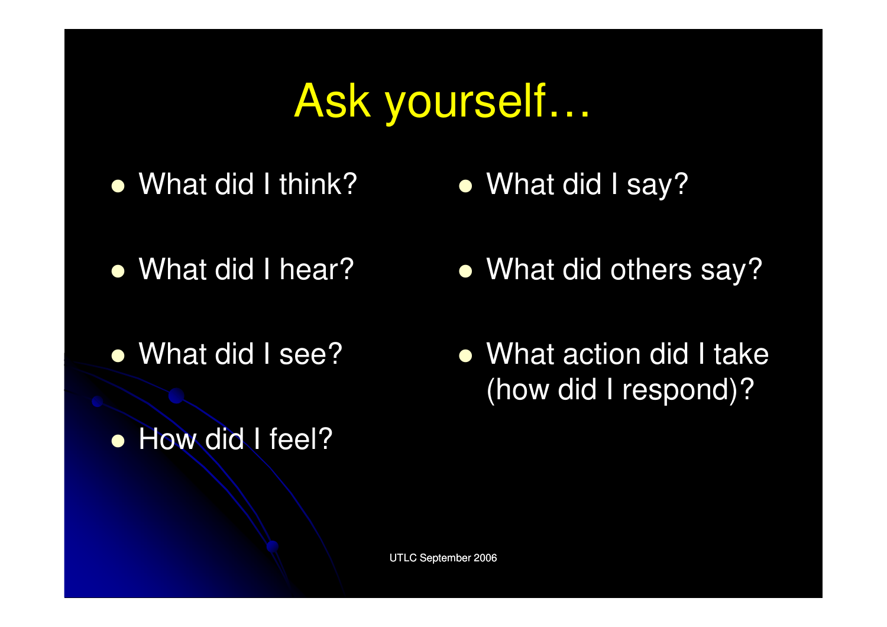# Ask yourself…

• What did I think?

What did I say?

- What did I hear?
- What did I see?
- How did I feel?
- What did others say?
- What action did I take (how did I respond)?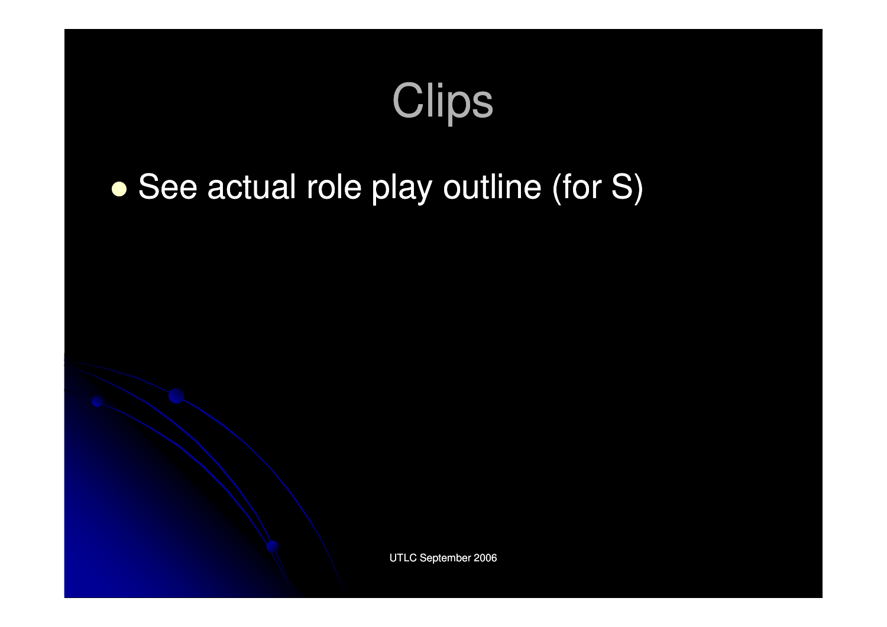# **Clips**

#### $\bullet$ • See actual role play outline (for S)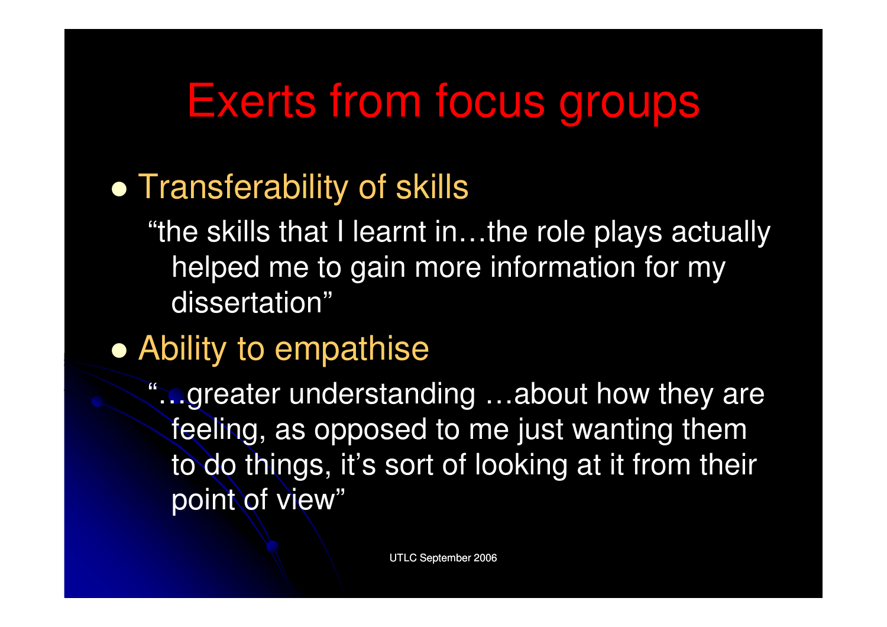#### Exerts from focus groups

#### **• Transferability of skills**

"the skills that I learnt in…the role plays actuallyhelped me to gain more information for my dissertation"

### Ability to empathise

"…greater understanding …about how they are feeling, as opposed to me just wanting them to do things, it's sort of looking at it from theirpoint of view"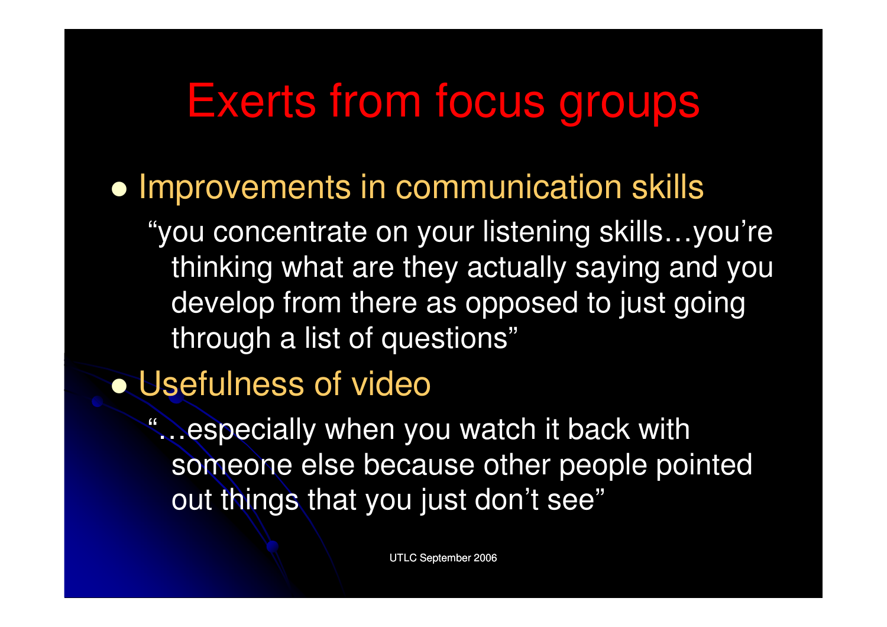#### Exerts from focus groups

**• Improvements in communication skills** 

"you concentrate on your listening skills…you're thinking what are they actually saying and you develop from there as opposed to just going through a list of questions"

Usefulness of video

"…especially when you watch it back with someone else because other people pointed out things that you just don't see"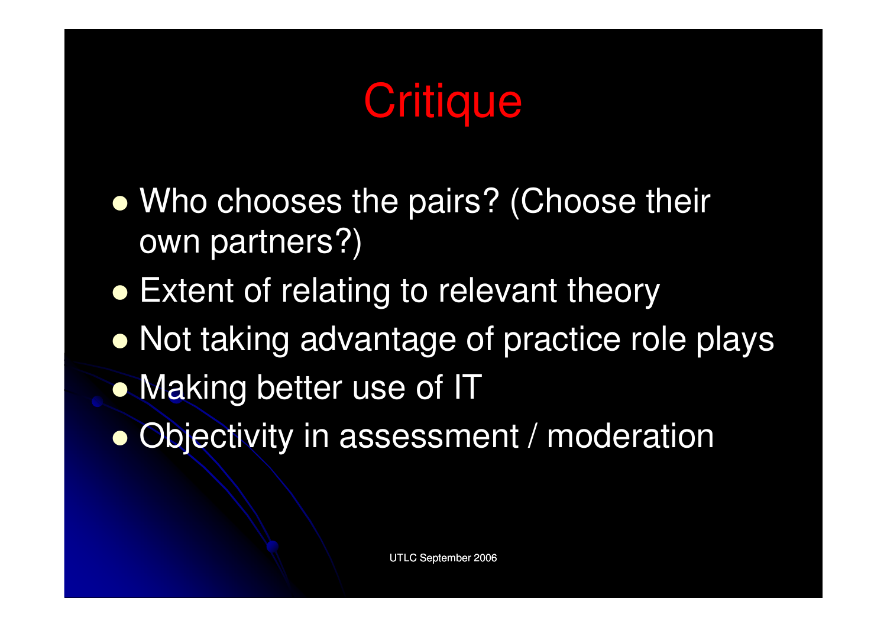# **Critique**

- $\bullet$ • Who chooses the pairs? (Choose their own partners?)
- **Extent of relating to relevant theory**
- **Not taking advantage of practice role plays**
- Making better use of IT
- $\bullet$ Objectivity in assessment / moderation